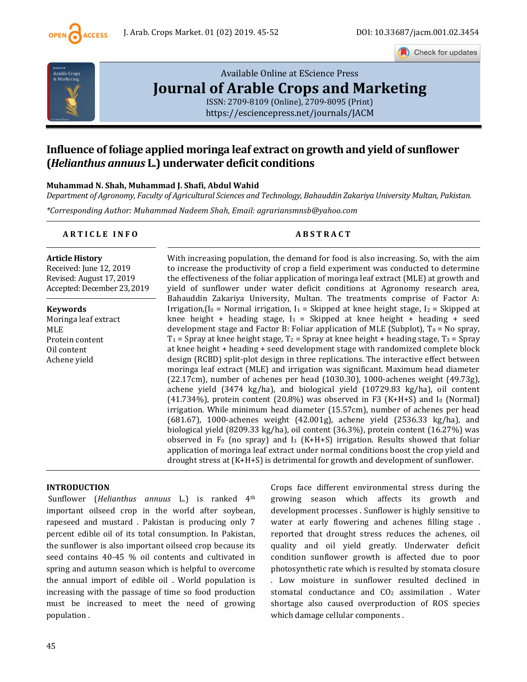

Check for updates



# [Available Online at EScience Press](https://esciencepress.net/journals/JACM) **[Journal of Arable Crops and Marketing](https://esciencepress.net/journals/JACM)**

[ISSN: 2709-8109 \(Online\), 2709-8095 \(Print\)](https://esciencepress.net/journals/JACM) <https://esciencepress.net/journals/JACM>

# **Influence of foliage applied moringa leaf extract on growth and yield of sunflower (***Helianthus annuus* **L.) underwater deficit conditions**

# **Muhammad N. Shah, Muhammad J. Shafi, Abdul Wahid**

*Department of Agronomy, Faculty of Agricultural Sciences and Technology, Bahauddin Zakariya University Multan, Pakistan.*

*\*Corresponding Author: Muhammad Nadeem Shah, Email: agrariansmnsb@yahoo.com*

# **A R T I C L E I N F O A B S T R A C T**

#### **Article History**

Received: June 12, 2019 Revised: August 17, 2019 Accepted: December 23, 2019

**Keywords** Moringa leaf extract MLE Protein content Oil content Achene yield

With increasing population, the demand for food is also increasing. So, with the aim to increase the productivity of crop a field experiment was conducted to determine the effectiveness of the foliar application of moringa leaf extract (MLE) at growth and yield of sunflower under water deficit conditions at Agronomy research area, Bahauddin Zakariya University, Multan. The treatments comprise of Factor A: Irrigation,  $[I_0 = Normal$  irrigation,  $I_1 = Skipped$  at knee height stage,  $I_2 = Skipped$  at knee height + heading stage,  $I_3$  = Skipped at knee height + heading + seed development stage and Factor B: Foliar application of MLE (Subplot),  $T_0 = No$  spray,  $T_1$  = Spray at knee height stage,  $T_2$  = Spray at knee height + heading stage,  $T_3$  = Spray at knee height + heading + seed development stage with randomized complete block design (RCBD) split-plot design in three replications. The interactive effect between moringa leaf extract (MLE) and irrigation was significant. Maximum head diameter (22.17cm), number of achenes per head (1030.30), 1000-achenes weight (49.73g), achene yield (3474 kg/ha), and biological yield (10729.83 kg/ha), oil content  $(41.734\%)$ , protein content  $(20.8\%)$  was observed in F3  $(K+H+S)$  and I<sub>0</sub> (Normal) irrigation. While minimum head diameter (15.57cm), number of achenes per head (681.67), 1000-achenes weight (42.001g), achene yield (2536.33 kg/ha), and biological yield (8209.33 kg/ha), oil content (36.3%), protein content (16.27%) was observed in  $F_0$  (no spray) and I<sub>3</sub> (K+H+S) irrigation. Results showed that foliar application of moringa leaf extract under normal conditions boost the crop yield and drought stress at (K+H+S) is detrimental for growth and development of sunflower.

# **INTRODUCTION**

Sunflower (*Helianthus annuus* L.) is ranked 4th important oilseed crop in the world after soybean, rapeseed and mustard . Pakistan is producing only 7 percent edible oil of its total consumption. In Pakistan, the sunflower is also important oilseed crop because its seed contains 40-45 % oil contents and cultivated in spring and autumn season which is helpful to overcome the annual import of edible oil . World population is increasing with the passage of time so food production must be increased to meet the need of growing population .

Crops face different environmental stress during the growing season which affects its growth and development processes . Sunflower is highly sensitive to water at early flowering and achenes filling stage . reported that drought stress reduces the achenes, oil quality and oil yield greatly. Underwater deficit condition sunflower growth is affected due to poor photosynthetic rate which is resulted by stomata closure . Low moisture in sunflower resulted declined in stomatal conductance and CO2 assimilation . Water shortage also caused overproduction of ROS species which damage cellular components .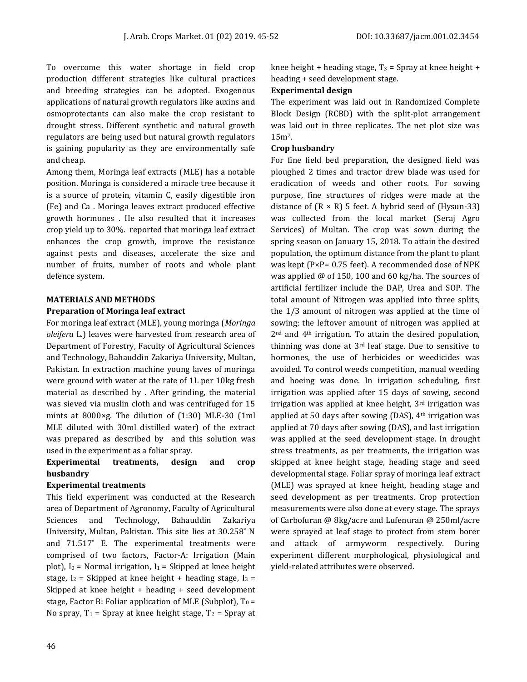To overcome this water shortage in field crop production different strategies like cultural practices and breeding strategies can be adopted. Exogenous applications of natural growth regulators like auxins and osmoprotectants can also make the crop resistant to drought stress. Different synthetic and natural growth regulators are being used but natural growth regulators is gaining popularity as they are environmentally safe and cheap.

Among them, Moringa leaf extracts (MLE) has a notable position. Moringa is considered a miracle tree because it is a source of protein, vitamin C, easily digestible iron (Fe) and Ca . Moringa leaves extract produced effective growth hormones . He also resulted that it increases crop yield up to 30%. reported that moringa leaf extract enhances the crop growth, improve the resistance against pests and diseases, accelerate the size and number of fruits, number of roots and whole plant defence system.

# **MATERIALS AND METHODS**

# **Preparation of Moringa leaf extract**

For moringa leaf extract (MLE), young moringa (*Moringa oleifera* L.) leaves were harvested from research area of Department of Forestry, Faculty of Agricultural Sciences and Technology, Bahauddin Zakariya University, Multan, Pakistan. In extraction machine young laves of moringa were ground with water at the rate of 1L per 10kg fresh material as described by . After grinding, the material was sieved via muslin cloth and was centrifuged for 15 mints at 8000×g. The dilution of (1:30) MLE-30 (1ml MLE diluted with 30ml distilled water) of the extract was prepared as described by and this solution was used in the experiment as a foliar spray.

# **Experimental treatments, design and crop husbandry**

# **Experimental treatments**

This field experiment was conducted at the Research area of Department of Agronomy, Faculty of Agricultural Sciences and Technology, Bahauddin Zakariya University, Multan, Pakistan. This site lies at 30.258˚ N and 71.517˚ E. The experimental treatments were comprised of two factors, Factor-A: Irrigation (Main plot),  $I_0$  = Normal irrigation,  $I_1$  = Skipped at knee height stage,  $I_2$  = Skipped at knee height + heading stage,  $I_3$  = Skipped at knee height + heading + seed development stage, Factor B: Foliar application of MLE (Subplot),  $T_0 =$ No spray,  $T_1$  = Spray at knee height stage,  $T_2$  = Spray at knee height + heading stage,  $T_3$  = Spray at knee height + heading + seed development stage.

# **Experimental design**

The experiment was laid out in Randomized Complete Block Design (RCBD) with the split-plot arrangement was laid out in three replicates. The net plot size was 15m2.

# **Crop husbandry**

For fine field bed preparation, the designed field was ploughed 2 times and tractor drew blade was used for eradication of weeds and other roots. For sowing purpose, fine structures of ridges were made at the distance of  $(R \times R)$  5 feet. A hybrid seed of (Hysun-33) was collected from the local market (Seraj Agro Services) of Multan. The crop was sown during the spring season on January 15, 2018. To attain the desired population, the optimum distance from the plant to plant was kept (P×P= 0.75 feet). A recommended dose of NPK was applied @ of 150, 100 and 60 kg/ha. The sources of artificial fertilizer include the DAP, Urea and SOP. The total amount of Nitrogen was applied into three splits, the 1/3 amount of nitrogen was applied at the time of sowing; the leftover amount of nitrogen was applied at 2nd and 4th irrigation. To attain the desired population, thinning was done at  $3<sup>rd</sup>$  leaf stage. Due to sensitive to hormones, the use of herbicides or weedicides was avoided. To control weeds competition, manual weeding and hoeing was done. In irrigation scheduling, first irrigation was applied after 15 days of sowing, second irrigation was applied at knee height,  $3<sup>rd</sup>$  irrigation was applied at 50 days after sowing (DAS),  $4<sup>th</sup>$  irrigation was applied at 70 days after sowing (DAS), and last irrigation was applied at the seed development stage. In drought stress treatments, as per treatments, the irrigation was skipped at knee height stage, heading stage and seed developmental stage. Foliar spray of moringa leaf extract (MLE) was sprayed at knee height, heading stage and seed development as per treatments. Crop protection measurements were also done at every stage. The sprays of Carbofuran @ 8kg/acre and Lufenuran @ 250ml/acre were sprayed at leaf stage to protect from stem borer and attack of armyworm respectively. During experiment different morphological, physiological and yield-related attributes were observed.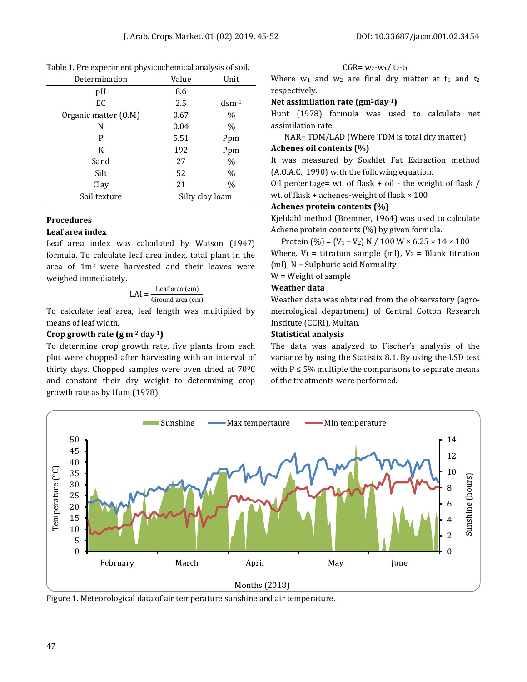| Determination        | Value           | Unit                 |  |  |  |
|----------------------|-----------------|----------------------|--|--|--|
| pH                   | 8.6             |                      |  |  |  |
| EC                   | 2.5             | $d$ sm $-1$          |  |  |  |
| Organic matter (O.M) | 0.67            | $\%$                 |  |  |  |
| N                    | 0.04            | $\frac{0}{0}$<br>Ppm |  |  |  |
| P                    | 5.51            |                      |  |  |  |
| K                    | 192             | Ppm                  |  |  |  |
| Sand                 | 27              | $\%$                 |  |  |  |
| Silt                 | 52              | $\%$                 |  |  |  |
| Clay                 | 21              | $\%$                 |  |  |  |
| Soil texture         | Silty clay loam |                      |  |  |  |

Table 1. Pre experiment physicochemical analysis of soil.

#### **Procedures**

#### **Leaf area index**

Leaf area index was calculated by Watson (1947) formula. To calculate leaf area index, total plant in the area of 1m2 were harvested and their leaves were weighed immediately.

$$
LAI = \frac{Leaf\ area\ (cm)}{Ground\ area\ (cm)}
$$

To calculate leaf area, leaf length was multiplied by means of leaf width.

# **Crop growth rate (g m-2 day-1)**

To determine crop growth rate, five plants from each plot were chopped after harvesting with an interval of thirty days. Chopped samples were oven dried at  $70^{\circ}$ C and constant their dry weight to determining crop growth rate as by Hunt (1978).

 $CGR = w_2-w_1/t_2-t_1$ 

Where  $w_1$  and  $w_2$  are final dry matter at  $t_1$  and  $t_2$ respectively.

# **Net assimilation rate (gm2day-1)**

Hunt (1978) formula was used to calculate net assimilation rate.

NAR= TDM/LAD (Where TDM is total dry matter)

## **Achenes oil contents (%)**

It was measured by Soxhlet Fat Extraction method (A.O.A.C., 1990) with the following equation.

Oil percentage= wt. of flask  $+$  oil - the weight of flask / wt. of flask + achenes-weight of flask × 100

# **Achenes protein contents (%)**

Kjeldahl method (Bremner, 1964) was used to calculate Achene protein contents (%) by given formula.

Protein  $(\% ) = (V_1 - V_2) N / 100 W \times 6.25 \times 14 \times 100$ Where,  $V_1$  = titration sample (ml),  $V_2$  = Blank titration (ml), N = Sulphuric acid Normality

# W = Weight of sample

#### **Weather data**

Weather data was obtained from the observatory (agrometrological department) of Central Cotton Research Institute (CCRI), Multan.

#### **Statistical analysis**

The data was analyzed to Fischer's analysis of the variance by using the Statistix 8.1. By using the LSD test with  $P \le 5\%$  multiple the comparisons to separate means of the treatments were performed.



Figure 1. Meteorological data of air temperature sunshine and air temperature.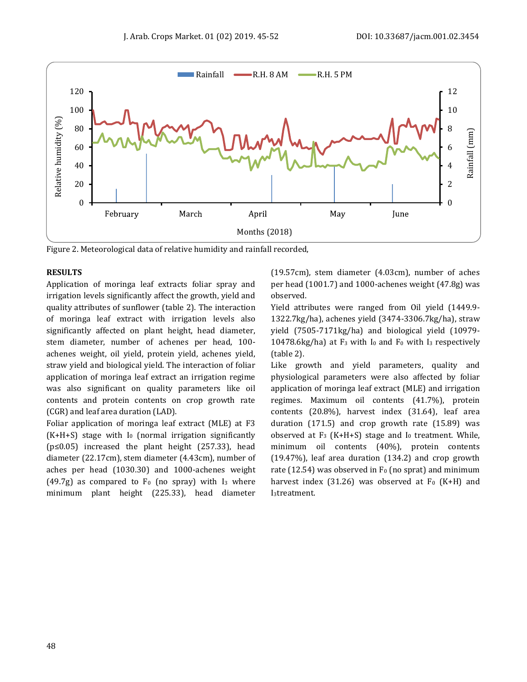

Figure 2. Meteorological data of relative humidity and rainfall recorded,

# **RESULTS**

Application of moringa leaf extracts foliar spray and irrigation levels significantly affect the growth, yield and quality attributes of sunflower (table 2). The interaction of moringa leaf extract with irrigation levels also significantly affected on plant height, head diameter, stem diameter, number of achenes per head, 100 achenes weight, oil yield, protein yield, achenes yield, straw yield and biological yield. The interaction of foliar application of moringa leaf extract an irrigation regime was also significant on quality parameters like oil contents and protein contents on crop growth rate (CGR) and leaf area duration (LAD).

Foliar application of moringa leaf extract (MLE) at F3  $(K+H+S)$  stage with I<sub>0</sub> (normal irrigation significantly (p≤0.05) increased the plant height (257.33), head diameter (22.17cm), stem diameter (4.43cm), number of aches per head (1030.30) and 1000-achenes weight  $(49.7g)$  as compared to  $F_0$  (no spray) with I<sub>3</sub> where minimum plant height (225.33), head diameter

(19.57cm), stem diameter (4.03cm), number of aches per head (1001.7) and 1000-achenes weight (47.8g) was observed.

Yield attributes were ranged from Oil yield (1449.9- 1322.7kg/ha), achenes yield (3474-3306.7kg/ha), straw yield (7505-7171kg/ha) and biological yield (10979- 10478.6kg/ha) at  $F_3$  with  $I_0$  and  $F_0$  with  $I_3$  respectively (table 2).

Like growth and yield parameters, quality and physiological parameters were also affected by foliar application of moringa leaf extract (MLE) and irrigation regimes. Maximum oil contents (41.7%), protein contents (20.8%), harvest index (31.64), leaf area duration (171.5) and crop growth rate (15.89) was observed at  $F_3$  (K+H+S) stage and I<sub>0</sub> treatment. While, minimum oil contents (40%), protein contents (19.47%), leaf area duration (134.2) and crop growth rate (12.54) was observed in  $F_0$  (no sprat) and minimum harvest index (31.26) was observed at  $F_0$  (K+H) and I3treatment.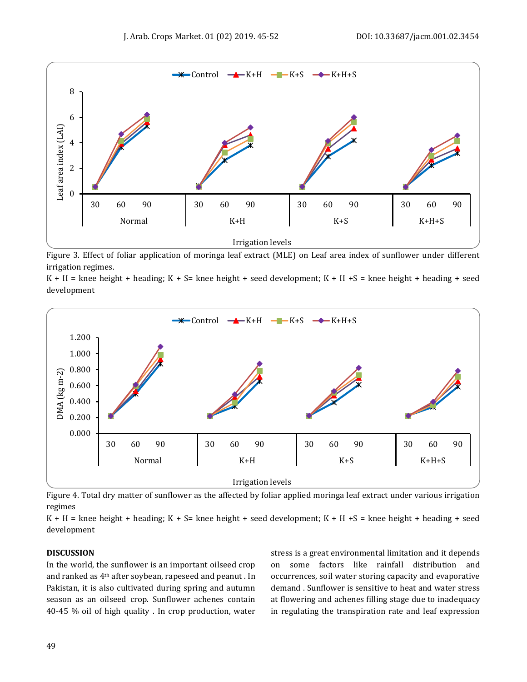

Figure 3. Effect of foliar application of moringa leaf extract (MLE) on Leaf area index of sunflower under different irrigation regimes.

 $K + H$  = knee height + heading;  $K + S$  = knee height + seed development;  $K + H + S$  = knee height + heading + seed development



Figure 4. Total dry matter of sunflower as the affected by foliar applied moringa leaf extract under various irrigation regimes

 $K + H =$  knee height + heading;  $K + S =$  knee height + seed development;  $K + H + S =$  knee height + heading + seed development

#### **DISCUSSION**

In the world, the sunflower is an important oilseed crop and ranked as 4th after soybean, rapeseed and peanut . In Pakistan, it is also cultivated during spring and autumn season as an oilseed crop. Sunflower achenes contain 40-45 % oil of high quality . In crop production, water stress is a great environmental limitation and it depends on some factors like rainfall distribution and occurrences, soil water storing capacity and evaporative demand . Sunflower is sensitive to heat and water stress at flowering and achenes filling stage due to inadequacy in regulating the transpiration rate and leaf expression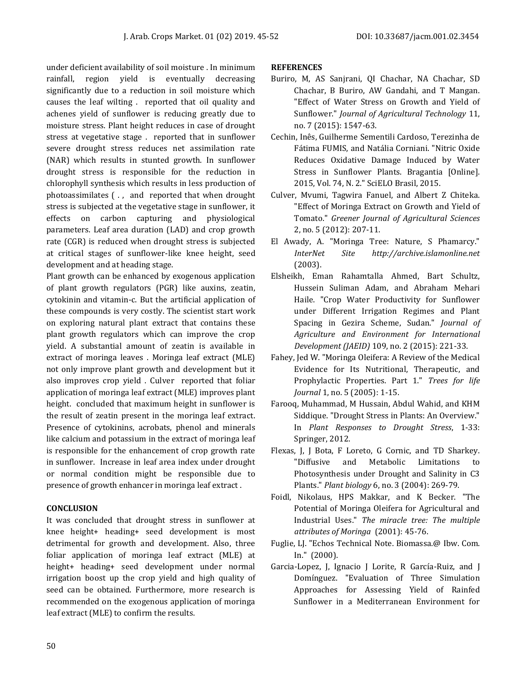under deficient availability of soil moisture . In minimum rainfall, region yield is eventually decreasing significantly due to a reduction in soil moisture which causes the leaf wilting . reported that oil quality and achenes yield of sunflower is reducing greatly due to moisture stress. Plant height reduces in case of drought stress at vegetative stage . reported that in sunflower severe drought stress reduces net assimilation rate (NAR) which results in stunted growth. In sunflower drought stress is responsible for the reduction in chlorophyll synthesis which results in less production of photoassimilates ( . , and reported that when drought stress is subjected at the vegetative stage in sunflower, it effects on carbon capturing and physiological parameters. Leaf area duration (LAD) and crop growth rate (CGR) is reduced when drought stress is subjected at critical stages of sunflower-like knee height, seed development and at heading stage.

Plant growth can be enhanced by exogenous application of plant growth regulators (PGR) like auxins, zeatin, cytokinin and vitamin-c. But the artificial application of these compounds is very costly. The scientist start work on exploring natural plant extract that contains these plant growth regulators which can improve the crop yield. A substantial amount of zeatin is available in extract of moringa leaves . Moringa leaf extract (MLE) not only improve plant growth and development but it also improves crop yield . Culver reported that foliar application of moringa leaf extract (MLE) improves plant height. concluded that maximum height in sunflower is the result of zeatin present in the moringa leaf extract. Presence of cytokinins, acrobats, phenol and minerals like calcium and potassium in the extract of moringa leaf is responsible for the enhancement of crop growth rate in sunflower. Increase in leaf area index under drought or normal condition might be responsible due to presence of growth enhancer in moringa leaf extract .

# **CONCLUSION**

It was concluded that drought stress in sunflower at knee height+ heading+ seed development is most detrimental for growth and development. Also, three foliar application of moringa leaf extract (MLE) at height+ heading+ seed development under normal irrigation boost up the crop yield and high quality of seed can be obtained. Furthermore, more research is recommended on the exogenous application of moringa leaf extract (MLE) to confirm the results.

# **REFERENCES**

- Buriro, M, AS Sanjrani, QI Chachar, NA Chachar, SD Chachar, B Buriro, AW Gandahi, and T Mangan. "Effect of Water Stress on Growth and Yield of Sunflower." *Journal of Agricultural Technology* 11, no. 7 (2015): 1547-63.
- Cechin, Inês, Guilherme Sementili Cardoso, Terezinha de Fátima FUMIS, and Natália Corniani. "Nitric Oxide Reduces Oxidative Damage Induced by Water Stress in Sunflower Plants. Bragantia [Online]. 2015, Vol. 74, N. 2." SciELO Brasil, 2015.
- Culver, Mvumi, Tagwira Fanuel, and Albert Z Chiteka. "Effect of Moringa Extract on Growth and Yield of Tomato." *Greener Journal of Agricultural Sciences*  2, no. 5 (2012): 207-11.
- El Awady, A. "Moringa Tree: Nature, S Phamarcy." *InterNet Site http://archive.islamonline.net*  (2003).
- Elsheikh, Eman Rahamtalla Ahmed, Bart Schultz, Hussein Suliman Adam, and Abraham Mehari Haile. "Crop Water Productivity for Sunflower under Different Irrigation Regimes and Plant Spacing in Gezira Scheme, Sudan." *Journal of Agriculture and Environment for International Development (JAEID)* 109, no. 2 (2015): 221-33.
- Fahey, Jed W. "Moringa Oleifera: A Review of the Medical Evidence for Its Nutritional, Therapeutic, and Prophylactic Properties. Part 1." *Trees for life Journal* 1, no. 5 (2005): 1-15.
- Farooq, Muhammad, M Hussain, Abdul Wahid, and KHM Siddique. "Drought Stress in Plants: An Overview." In *Plant Responses to Drought Stress*, 1-33: Springer, 2012.
- Flexas, J, J Bota, F Loreto, G Cornic, and TD Sharkey. "Diffusive and Metabolic Limitations to Photosynthesis under Drought and Salinity in C3 Plants." *Plant biology* 6, no. 3 (2004): 269-79.
- Foidl, Nikolaus, HPS Makkar, and K Becker. "The Potential of Moringa Oleifera for Agricultural and Industrial Uses." *The miracle tree: The multiple attributes of Moringa* (2001): 45-76.
- Fuglie, LJ. "Echos Technical Note. Biomassa.@ Ibw. Com. In." (2000).
- Garcia-Lopez, J, Ignacio J Lorite, R García-Ruiz, and J Domínguez. "Evaluation of Three Simulation Approaches for Assessing Yield of Rainfed Sunflower in a Mediterranean Environment for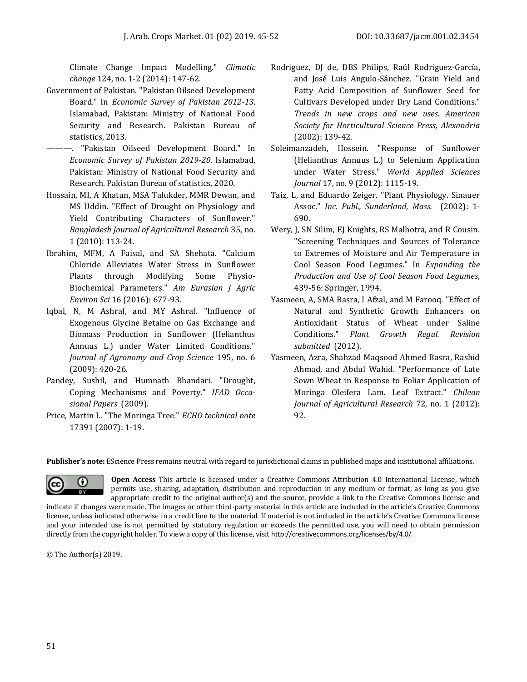Climate Change Impact Modelling." *Climatic change* 124, no. 1-2 (2014): 147-62.

- Government of Pakistan. "Pakistan Oilseed Development Board." In *Economic Survey of Pakistan 2012-13*. Islamabad, Pakistan: Ministry of National Food Security and Research. Pakistan Bureau of statistics, 2013.
- ———. "Pakistan Oilseed Development Board." In *Economic Survey of Pakistan 2019-20*. Islamabad, Pakistan: Ministry of National Food Security and Research. Pakistan Bureau of statistics, 2020.
- Hossain, MI, A Khatun, MSA Talukder, MMR Dewan, and MS Uddin. "Effect of Drought on Physiology and Yield Contributing Characters of Sunflower." *Bangladesh Journal of Agricultural Research* 35, no. 1 (2010): 113-24.
- Ibrahim, MFM, A Faisal, and SA Shehata. "Calcium Chloride Alleviates Water Stress in Sunflower Plants through Modifying Some Physio-Biochemical Parameters." *Am Eurasian J Agric Environ Sci* 16 (2016): 677-93.
- Iqbal, N, M Ashraf, and MY Ashraf. "Influence of Exogenous Glycine Betaine on Gas Exchange and Biomass Production in Sunflower (Helianthus Annuus L.) under Water Limited Conditions." *Journal of Agronomy and Crop Science* 195, no. 6 (2009): 420-26.
- Pandey, Sushil, and Humnath Bhandari. "Drought, Coping Mechanisms and Poverty." *IFAD Occasional Papers* (2009).
- Price, Martin L. "The Moringa Tree." *ECHO technical note*  17391 (2007): 1-19.
- Rodriguez, DJ de, DBS Philips, Raúl Rodriguez-García, and José Luis Angulo-Sánchez. "Grain Yield and Fatty Acid Composition of Sunflower Seed for Cultivars Developed under Dry Land Conditions." *Trends in new crops and new uses. American Society for Horticultural Science Press, Alexandria*  (2002): 139-42.
- Soleimanzadeh, Hossein. "Response of Sunflower (Helianthus Annuus L.) to Selenium Application under Water Stress." *World Applied Sciences Journal* 17, no. 9 (2012): 1115-19.
- Taiz, L, and Eduardo Zeiger. "Plant Physiology. Sinauer Assoc." *Inc. Publ., Sunderland, Mass.* (2002): 1- 690.
- Wery, J, SN Silim, EJ Knights, RS Malhotra, and R Cousin. "Screening Techniques and Sources of Tolerance to Extremes of Moisture and Air Temperature in Cool Season Food Legumes." In *Expanding the Production and Use of Cool Season Food Legumes*, 439-56: Springer, 1994.
- Yasmeen, A, SMA Basra, I Afzal, and M Farooq. "Effect of Natural and Synthetic Growth Enhancers on Antioxidant Status of Wheat under Saline Conditions." *Plant Growth Regul. Revision submitted* (2012).
- Yasmeen, Azra, Shahzad Maqsood Ahmed Basra, Rashid Ahmad, and Abdul Wahid. "Performance of Late Sown Wheat in Response to Foliar Application of Moringa Oleifera Lam. Leaf Extract." *Chilean Journal of Agricultural Research* 72, no. 1 (2012): 92.

**Publisher's note:** EScience Press remains neutral with regard to jurisdictional claims in published maps and institutional affiliations.



**Open Access** This article is licensed under a Creative Commons Attribution 4.0 International License, which permits use, sharing, adaptation, distribution and reproduction in any medium or format, as long as you give appropriate credit to the original author(s) and the source, provide a link to the Creative Commons license and

indicate if changes were made. The images or other third-party material in this article are included in the article's Creative Commons license, unless indicated otherwise in a credit line to the material. If material is not included in the article's Creative Commons license and your intended use is not permitted by statutory regulation or exceeds the permitted use, you will need to obtain permission directly from the copyright holder. To view a copy of this license, visit <http://creativecommons.org/licenses/by/4.0/>.

© The Author(s) 2019.